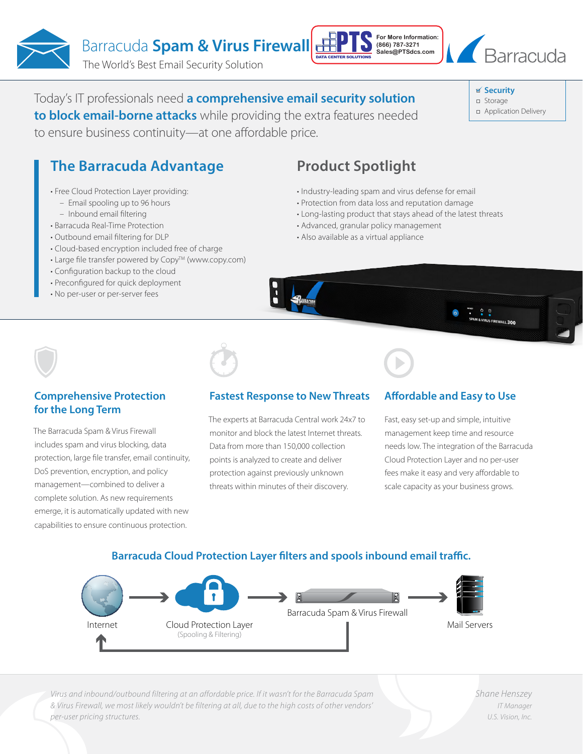Barracuda **Spam & Virus Firewall** 

The World's Best Email Security Solution

# Today's IT professionals need **a comprehensive email security solution**

**to block email-borne attacks** while providing the extra features needed to ensure business continuity—at one affordable price.

# **The Barracuda Advantage**

- Free Cloud Protection Layer providing:
	- Email spooling up to 96 hours
	- Inbound email filtering
- Barracuda Real-Time Protection
- Outbound email filtering for DLP
- Cloud-based encryption included free of charge
- Large file transfer powered by Copy<sup>TM</sup> (www.copy.com)
- Configuration backup to the cloud
- Preconfigured for quick deployment
- No per-user or per-server fees

# **Product Spotlight**

- Industry-leading spam and virus defense for email
- Protection from data loss and reputation damage
- Long-lasting product that stays ahead of the latest threats

**For More Information: (866) 787-3271 Sales@PTSdcs.com**

- Advanced, granular policy management
- Also available as a virtual appliance



#### **Comprehensive Protection for the Long Term**

The Barracuda Spam & Virus Firewall includes spam and virus blocking, data protection, large file transfer, email continuity, DoS prevention, encryption, and policy management—combined to deliver a complete solution. As new requirements emerge, it is automatically updated with new capabilities to ensure continuous protection.

### **Fastest Response to New Threats**

The experts at Barracuda Central work 24x7 to monitor and block the latest Internet threats. Data from more than 150,000 collection points is analyzed to create and deliver protection against previously unknown threats within minutes of their discovery.

## **Affordable and Easy to Use**

Fast, easy set-up and simple, intuitive management keep time and resource needs low. The integration of the Barracuda Cloud Protection Layer and no per-user fees make it easy and very affordable to scale capacity as your business grows.

# **Barracuda Cloud Protection Layer filters and spools inbound email traffic.**



*Virus and inbound/outbound filtering at an affordable price. If it wasn't for the Barracuda Spam & Virus Firewall, we most likely wouldn't be filtering at all, due to the high costs of other vendors' per-user pricing structures.*

*Shane Henszey IT Manager U.S. Vision, Inc.*



**Security**

- Storage
- Application Delivery